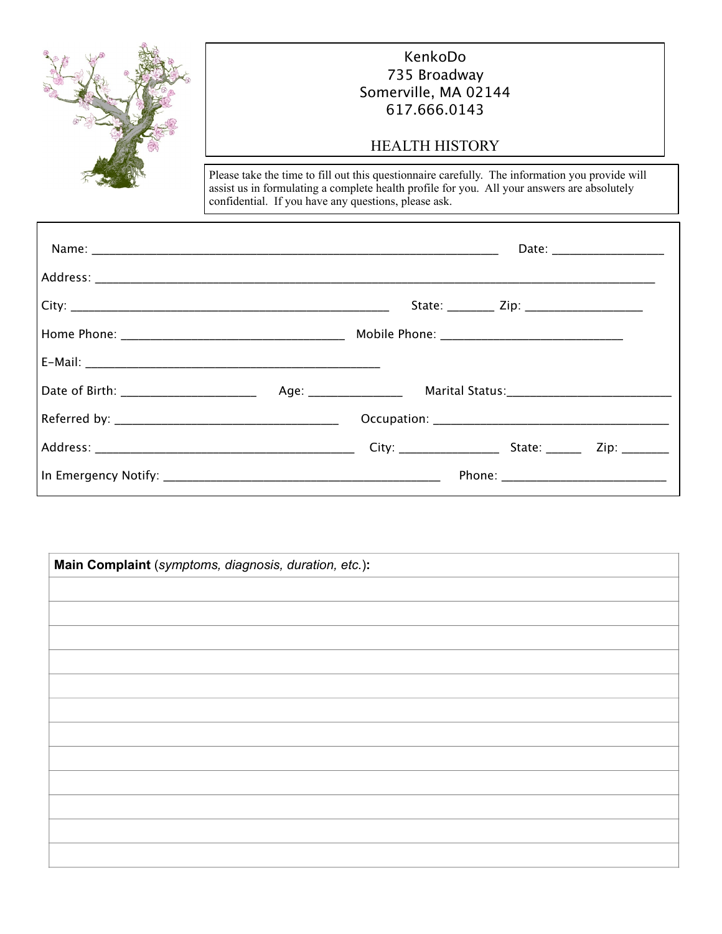

# KenkoDo 735 Broadway Somerville, MA 02144 617.666.0143

## HEALTH HISTORY

Please take the time to fill out this questionnaire carefully. The information you provide will assist us in formulating a complete health profile for you. All your answers are absolutely confidential. If you have any questions, please ask.

| Date: _______________________ |
|-------------------------------|
|                               |
|                               |
|                               |
|                               |
|                               |
|                               |
|                               |
|                               |

| Main Complaint (symptoms, diagnosis, duration, etc.): |  |  |
|-------------------------------------------------------|--|--|
|                                                       |  |  |
|                                                       |  |  |
|                                                       |  |  |
|                                                       |  |  |
|                                                       |  |  |
|                                                       |  |  |
|                                                       |  |  |
|                                                       |  |  |
|                                                       |  |  |
|                                                       |  |  |
|                                                       |  |  |
|                                                       |  |  |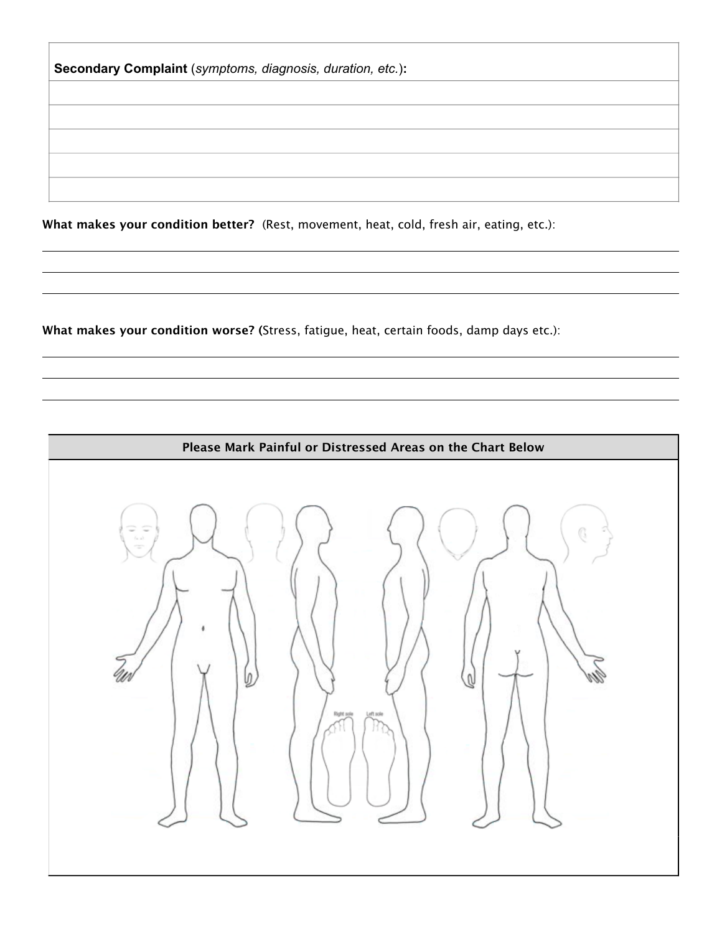**Secondary Complaint** (*symptoms, diagnosis, duration, etc.*)**:**

**What makes your condition better?** (Rest, movement, heat, cold, fresh air, eating, etc.):

,我们也不会有什么。""我们的人,我们也不会有什么?""我们的人,我们也不会有什么?""我们的人,我们也不会有什么?""我们的人,我们也不会有什么?""我们的人

,我们也不会有什么。""我们的人,我们也不会有什么?""我们的人,我们也不会有什么?""我们的人,我们也不会有什么?""我们的人,我们也不会有什么?""我们的人

**What makes your condition worse? (**Stress, fatigue, heat, certain foods, damp days etc.):

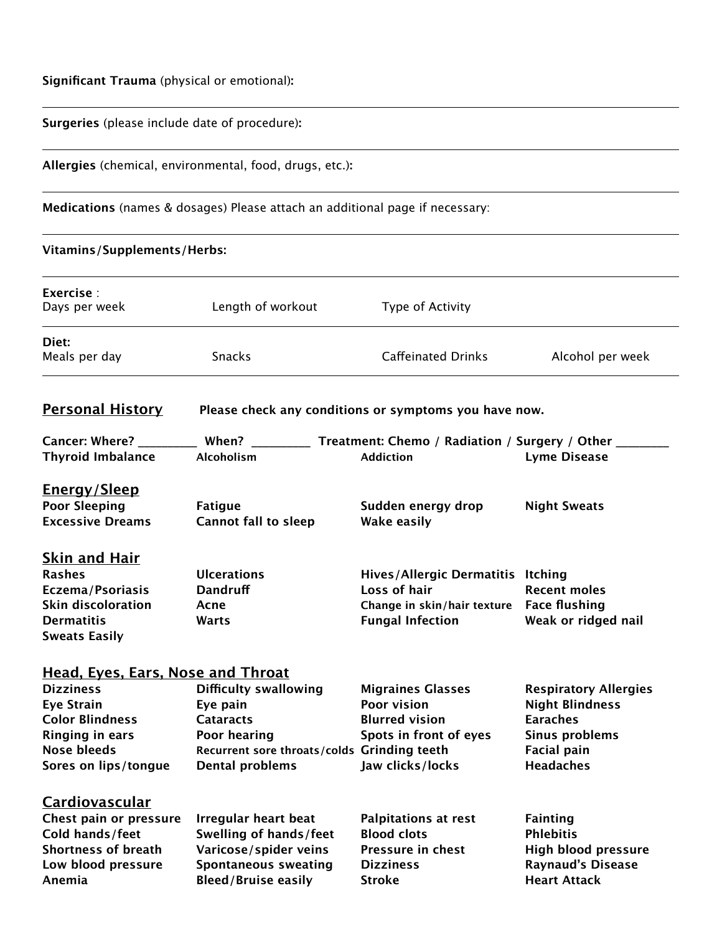## **Significant Trauma** (physical or emotional)**:**

## **Surgeries** (please include date of procedure)**:**

**Allergies** (chemical, environmental, food, drugs, etc.)**:**

**Medications** (names & dosages) Please attach an additional page if necessary:

,我们也不能在这里的时候,我们也不能会在这里,我们也不能会不能会不能会不能会不能会不能会不能会。""我们的人们,我们也不能会不能会不能会不能会不能会不能会不能会

,我们也不能在这里的时候,我们也不能会在这里,我们也不能会不能会不能会不能会不能会不能会不能会。""我们的人们,我们也不能会不能会不能会不能会不能会不能会不能会

,我们也不能在这里的时候,我们也不能会在这里,我们也不能会不能会不能会不能会不能会不能会不能会。""我们的人们,我们也不能会不能会不能会不能会不能会不能会不能会

## **Vitamins/Supplements/Herbs:**

| Exercise:<br>Days per week                                                                                                                                                          | Length of workout                                                                                                                              | Type of Activity                                                                                                          |                                                                                                                                       |
|-------------------------------------------------------------------------------------------------------------------------------------------------------------------------------------|------------------------------------------------------------------------------------------------------------------------------------------------|---------------------------------------------------------------------------------------------------------------------------|---------------------------------------------------------------------------------------------------------------------------------------|
| Diet:<br>Meals per day                                                                                                                                                              | Snacks                                                                                                                                         | <b>Caffeinated Drinks</b>                                                                                                 | Alcohol per week                                                                                                                      |
| <b>Personal History</b>                                                                                                                                                             |                                                                                                                                                | Please check any conditions or symptoms you have now.                                                                     |                                                                                                                                       |
| Cancer: Where? ____________ When? __________<br><b>Thyroid Imbalance</b>                                                                                                            | Alcoholism                                                                                                                                     | Treatment: Chemo / Radiation / Surgery / Other<br><b>Addiction</b>                                                        | <b>Lyme Disease</b>                                                                                                                   |
| <u>Energy/Sleep</u><br><b>Poor Sleeping</b><br><b>Excessive Dreams</b>                                                                                                              | <b>Fatigue</b><br><b>Cannot fall to sleep</b>                                                                                                  | Sudden energy drop<br><b>Wake easily</b>                                                                                  | <b>Night Sweats</b>                                                                                                                   |
| <b>Skin and Hair</b><br><b>Rashes</b><br><b>Eczema/Psoriasis</b><br><b>Skin discoloration</b><br><b>Dermatitis</b><br><b>Sweats Easily</b>                                          | <b>Ulcerations</b><br><b>Dandruff</b><br>Acne<br>Warts                                                                                         | Hives/Allergic Dermatitis Itching<br>Loss of hair<br>Change in skin/hair texture Face flushing<br><b>Fungal Infection</b> | <b>Recent moles</b><br>Weak or ridged nail                                                                                            |
| <b>Head, Eyes, Ears, Nose and Throat</b><br><b>Dizziness</b><br><b>Eye Strain</b><br><b>Color Blindness</b><br><b>Ringing in ears</b><br><b>Nose bleeds</b><br>Sores on lips/tongue | <b>Difficulty swallowing</b><br>Eye pain<br><b>Cataracts</b><br>Poor hearing<br>Recurrent sore throats/colds Grinding teeth<br>Dental problems | <b>Migraines Glasses</b><br>Poor vision<br><b>Blurred vision</b><br>Spots in front of eyes<br>Jaw clicks/locks            | <b>Respiratory Allergies</b><br><b>Night Blindness</b><br><b>Earaches</b><br>Sinus problems<br><b>Facial pain</b><br><b>Headaches</b> |
| <b>Cardiovascular</b><br>Chest pain or pressure<br>Cold hands/feet<br><b>Shortness of breath</b><br>Low blood pressure<br>Anemia                                                    | <b>Irregular heart beat</b><br>Swelling of hands/feet<br>Varicose/spider veins<br><b>Spontaneous sweating</b><br><b>Bleed/Bruise easily</b>    | <b>Palpitations at rest</b><br><b>Blood clots</b><br><b>Pressure in chest</b><br><b>Dizziness</b><br><b>Stroke</b>        | <b>Fainting</b><br><b>Phlebitis</b><br>High blood pressure<br><b>Raynaud's Disease</b><br><b>Heart Attack</b>                         |